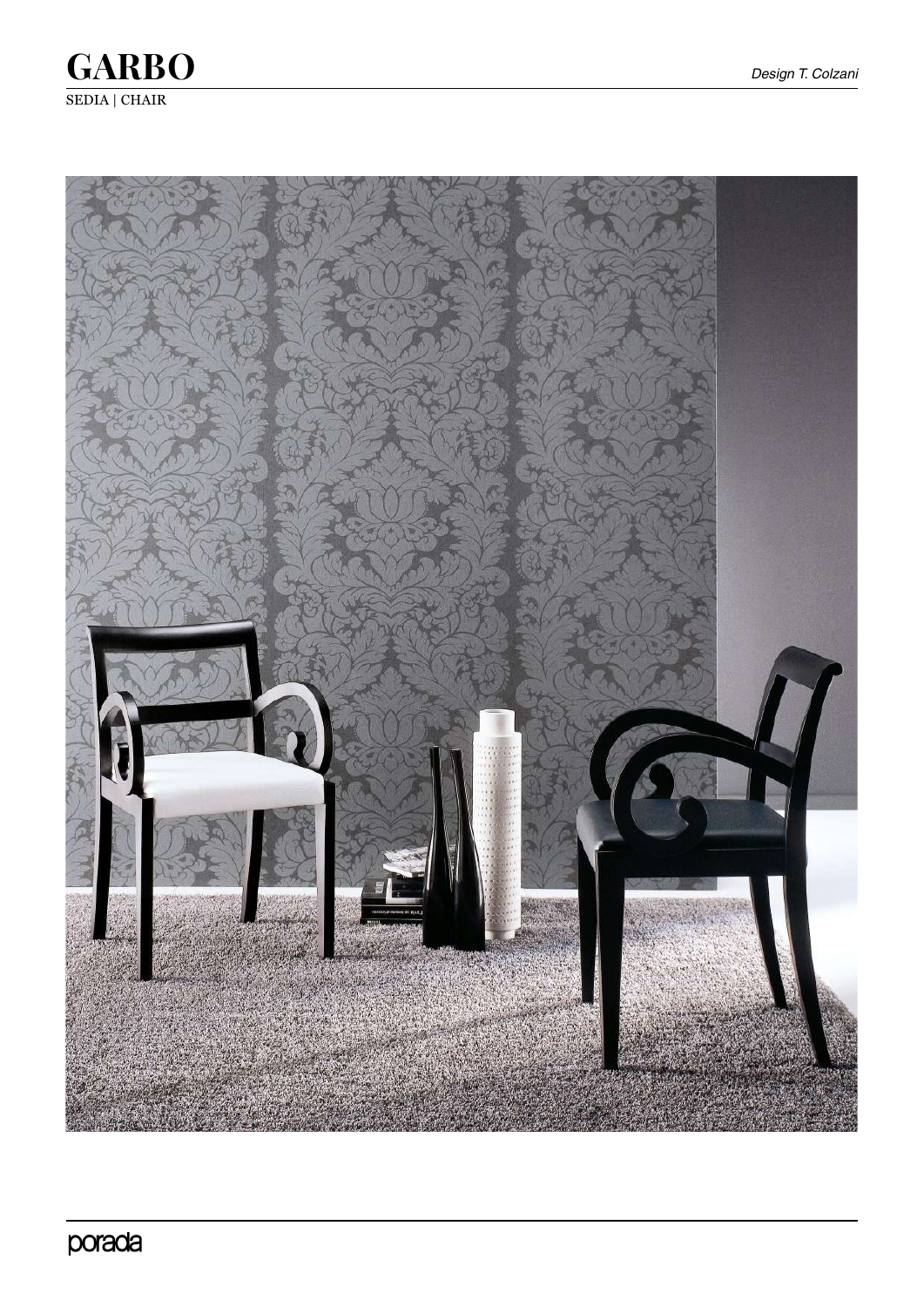

**GARBO** SEDIA | CHAIR

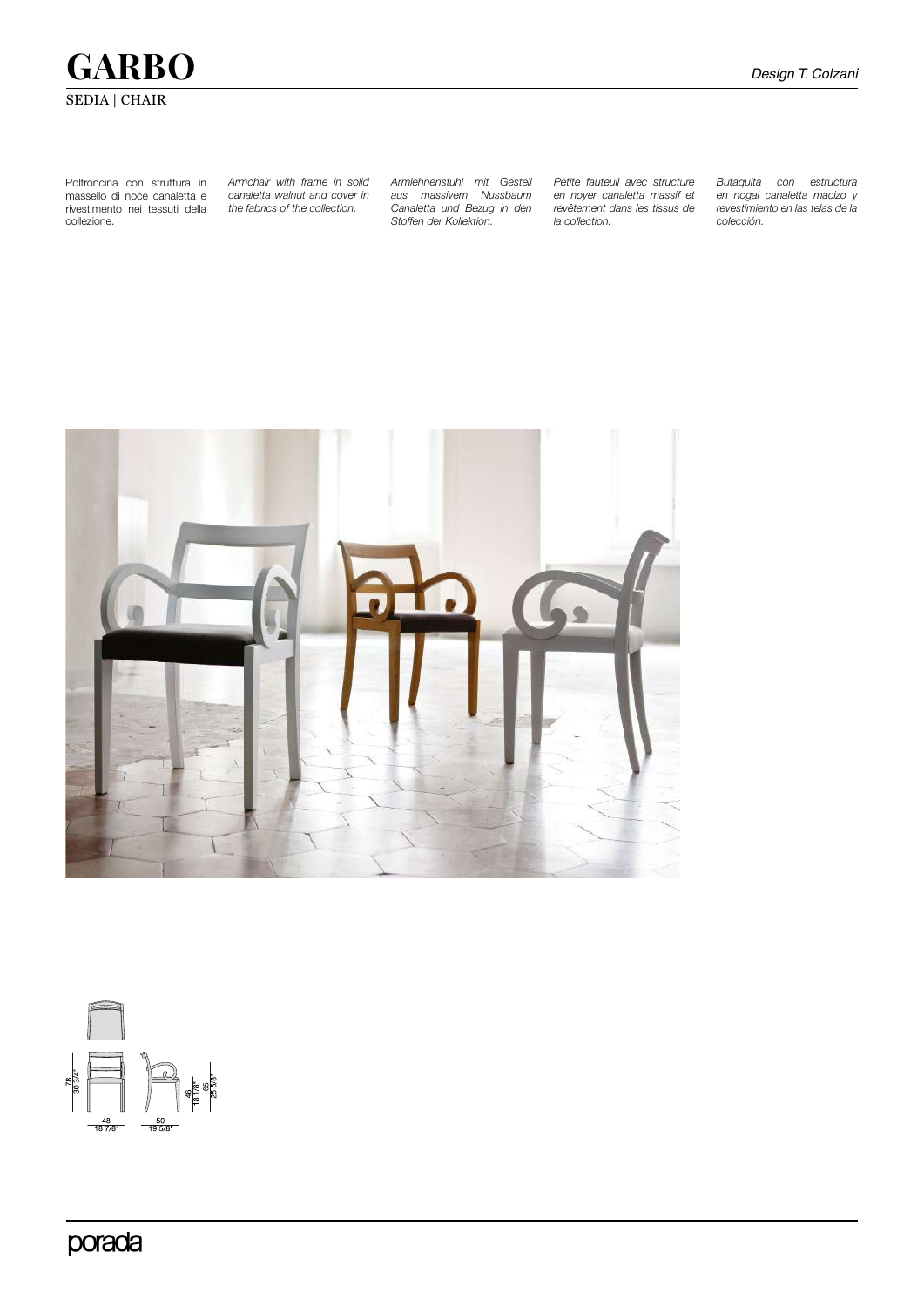# **GARBO** *Design T. Colzani* SEDIA | CHAIR

Poltroncina con struttura in massello di noce canaletta e rivestimento nei tessuti della collezione.

*Armchair with frame in solid canaletta walnut and cover in the fabrics of the collection.* 

*Armlehnenstuhl mit Gestell aus massivem Nussbaum Canaletta und Bezug in den Stoffen der Kollektion.* 

*Petite fauteuil avec structure en noyer canaletta massif et revêtement dans les tissus de la collection.* 

*Butaquita con estructura en nogal canaletta macizo y revestimiento en las telas de la colección.*





porada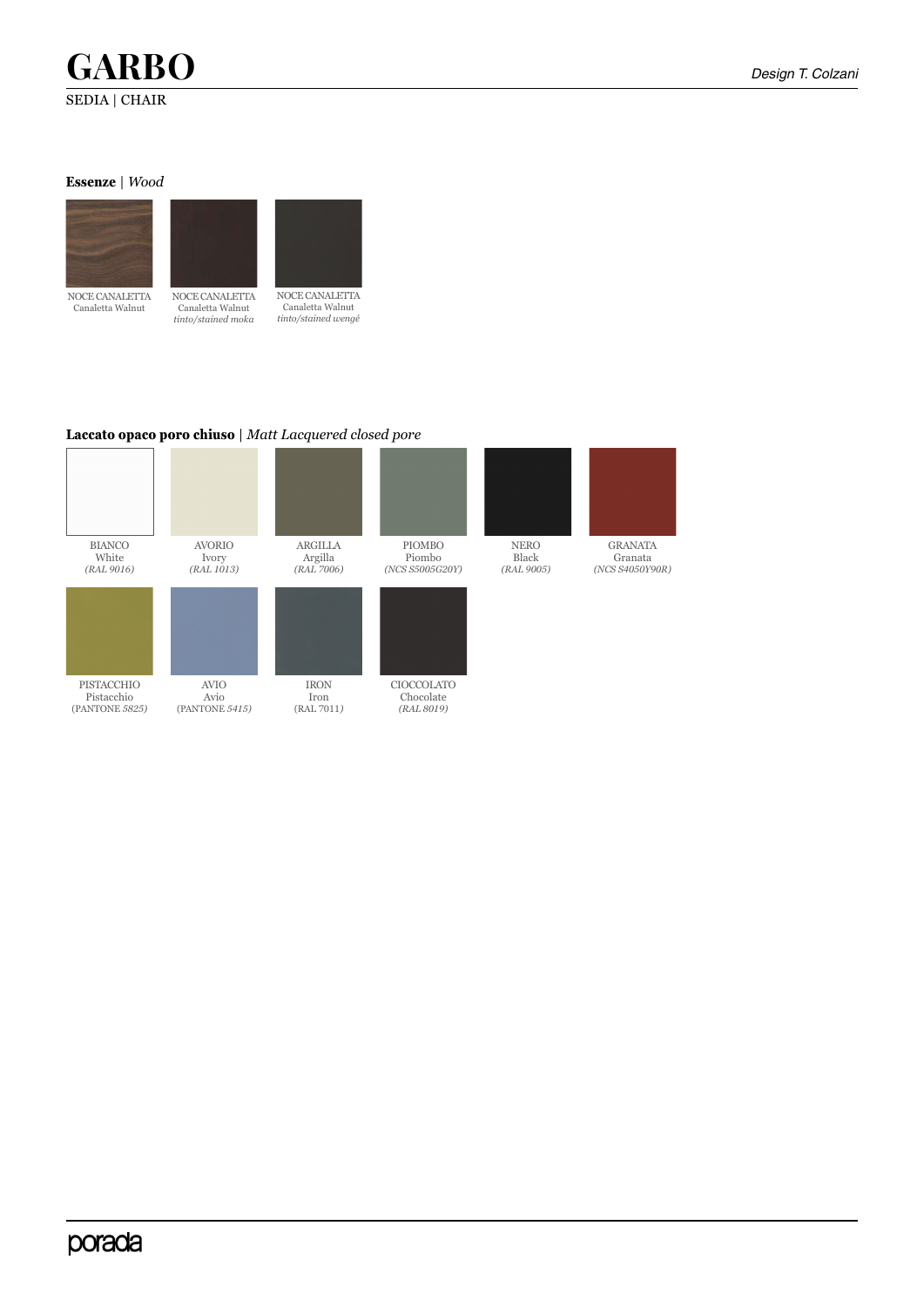## **GARBO** *Design T. Colzani* SEDIA | CHAIR

GRANATA Granata *(NCS S4050Y90R)*

### **Essenze** | *Wood*



Canaletta Walnut



NOCE CANALETTA Canaletta Walnut *tinto/stained moka*

NOCE CANALETTA Canaletta Walnut *tinto/stained wengé*

### **Laccato opaco poro chiuso** | *Matt Lacquered closed pore*